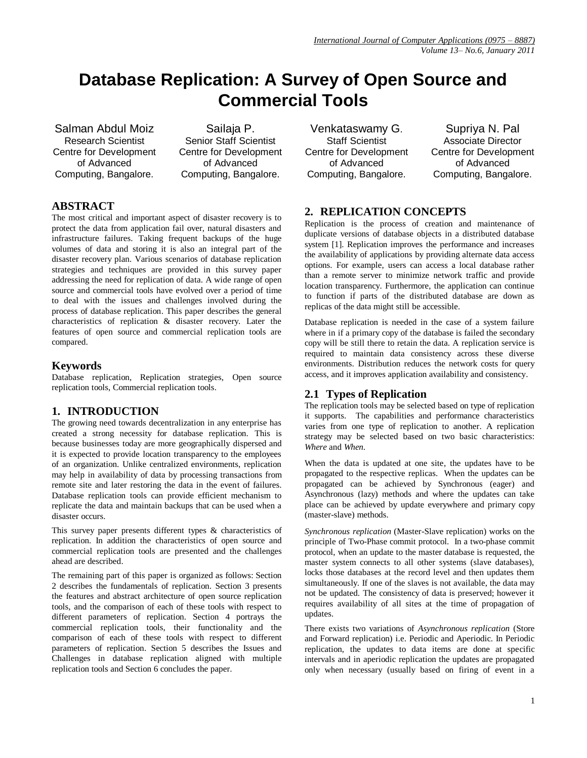# **Database Replication: A Survey of Open Source and Commercial Tools**

Salman Abdul Moiz Research Scientist Centre for Development of Advanced Computing, Bangalore.

Sailaja P. Senior Staff Scientist Centre for Development of Advanced Computing, Bangalore.

# **ABSTRACT**

The most critical and important aspect of disaster recovery is to protect the data from application fail over, natural disasters and infrastructure failures. Taking frequent backups of the huge volumes of data and storing it is also an integral part of the disaster recovery plan. Various scenarios of database replication strategies and techniques are provided in this survey paper addressing the need for replication of data. A wide range of open source and commercial tools have evolved over a period of time to deal with the issues and challenges involved during the process of database replication. This paper describes the general characteristics of replication & disaster recovery. Later the features of open source and commercial replication tools are compared.

## **Keywords**

Database replication, Replication strategies, Open source replication tools, Commercial replication tools.

# **1. INTRODUCTION**

The growing need towards decentralization in any enterprise has created a strong necessity for database replication. This is because businesses today are more geographically dispersed and it is expected to provide location transparency to the employees of an organization. Unlike centralized environments, replication may help in availability of data by processing transactions from remote site and later restoring the data in the event of failures. Database replication tools can provide efficient mechanism to replicate the data and maintain backups that can be used when a disaster occurs.

This survey paper presents different types & characteristics of replication. In addition the characteristics of open source and commercial replication tools are presented and the challenges ahead are described.

The remaining part of this paper is organized as follows: Section 2 describes the fundamentals of replication. Section 3 presents the features and abstract architecture of open source replication tools, and the comparison of each of these tools with respect to different parameters of replication. Section 4 portrays the commercial replication tools, their functionality and the comparison of each of these tools with respect to different parameters of replication. Section 5 describes the Issues and Challenges in database replication aligned with multiple replication tools and Section 6 concludes the paper.

Venkataswamy G. Staff Scientist Centre for Development of Advanced Computing, Bangalore.

Supriya N. Pal Associate Director Centre for Development of Advanced Computing, Bangalore.

# **2. REPLICATION CONCEPTS**

Replication is the process of creation and maintenance of duplicate versions of database objects in a distributed database system [1]. Replication improves the performance and increases the availability of applications by providing alternate data access options. For example, users can access a local database rather than a remote server to minimize network traffic and provide location transparency. Furthermore, the application can continue to function if parts of the distributed database are down as replicas of the data might still be accessible.

Database replication is needed in the case of a system failure where in if a primary copy of the database is failed the secondary copy will be still there to retain the data. A replication service is required to maintain data consistency across these diverse environments. Distribution reduces the network costs for query access, and it improves application availability and consistency.

## **2.1 Types of Replication**

The replication tools may be selected based on type of replication it supports. The capabilities and performance characteristics varies from one type of replication to another. A replication strategy may be selected based on two basic characteristics: *Where* and *When*.

When the data is updated at one site, the updates have to be propagated to the respective replicas. When the updates can be propagated can be achieved by Synchronous (eager) and Asynchronous (lazy) methods and where the updates can take place can be achieved by update everywhere and primary copy (master-slave) methods.

*Synchronous replication* (Master-Slave replication) works on the principle of Two-Phase commit protocol. In a two-phase commit protocol, when an update to the master database is requested, the master system connects to all other systems (slave databases), locks those databases at the record level and then updates them simultaneously. If one of the slaves is not available, the data may not be updated. The consistency of data is preserved; however it requires availability of all sites at the time of propagation of updates.

There exists two variations of *Asynchronous replication* (Store and Forward replication) i.e. Periodic and Aperiodic. In Periodic replication, the updates to data items are done at specific intervals and in aperiodic replication the updates are propagated only when necessary (usually based on firing of event in a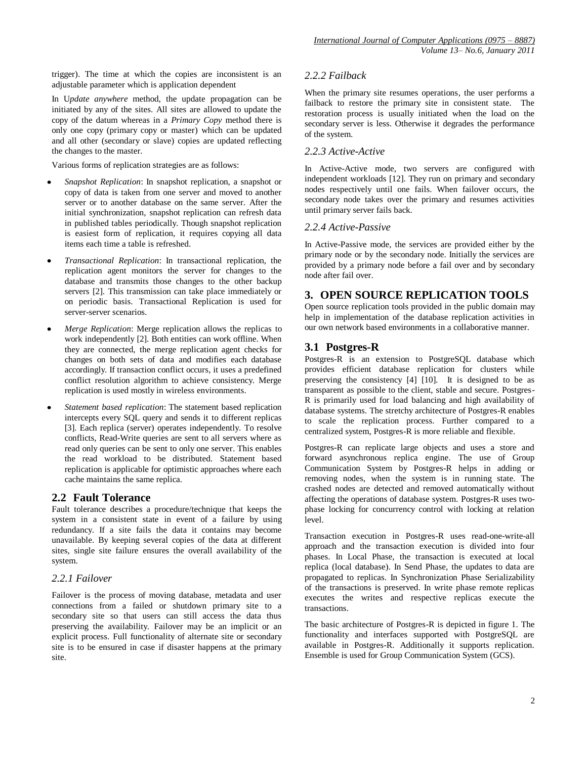trigger). The time at which the copies are inconsistent is an adjustable parameter which is application dependent

In U*pdate anywhere* method, the update propagation can be initiated by any of the sites. All sites are allowed to update the copy of the datum whereas in a *Primary Copy* method there is only one copy (primary copy or master) which can be updated and all other (secondary or slave) copies are updated reflecting the changes to the master.

Various forms of replication strategies are as follows:

- *Snapshot Replication*: In snapshot replication, a snapshot or copy of data is taken from one server and moved to another server or to another database on the same server. After the initial synchronization, snapshot replication can refresh data in published tables periodically. Though snapshot replication is easiest form of replication, it requires copying all data items each time a table is refreshed.
- *Transactional Replication*: In transactional replication, the replication agent monitors the server for changes to the database and transmits those changes to the other backup servers [2]. This transmission can take place immediately or on periodic basis. Transactional Replication is used for server-server scenarios.
- *Merge Replication*: Merge replication allows the replicas to work independently [2]. Both entities can work offline. When they are connected, the merge replication agent checks for changes on both sets of data and modifies each database accordingly. If transaction conflict occurs, it uses a predefined conflict resolution algorithm to achieve consistency. Merge replication is used mostly in wireless environments.
- *Statement based replication*: The statement based replication intercepts every SQL query and sends it to different replicas [3]. Each replica (server) operates independently. To resolve conflicts, Read-Write queries are sent to all servers where as read only queries can be sent to only one server. This enables the read workload to be distributed. Statement based replication is applicable for optimistic approaches where each cache maintains the same replica.

# **2.2 Fault Tolerance**

Fault tolerance describes a procedure/technique that keeps the system in a consistent state in event of a failure by using redundancy. If a site fails the data it contains may become unavailable. By keeping several copies of the data at different sites, single site failure ensures the overall availability of the system.

## *2.2.1 Failover*

Failover is the process of moving database, metadata and user connections from a failed or shutdown primary site to a secondary site so that users can still access the data thus preserving the availability. Failover may be an implicit or an explicit process. Full functionality of alternate site or secondary site is to be ensured in case if disaster happens at the primary site.

## *2.2.2 Failback*

When the primary site resumes operations, the user performs a failback to restore the primary site in consistent state. The restoration process is usually initiated when the load on the secondary server is less. Otherwise it degrades the performance of the system.

#### *2.2.3 Active-Active*

In Active-Active mode, two servers are configured with independent workloads [12]. They run on primary and secondary nodes respectively until one fails. When failover occurs, the secondary node takes over the primary and resumes activities until primary server fails back.

## *2.2.4 Active-Passive*

In Active-Passive mode, the services are provided either by the primary node or by the secondary node. Initially the services are provided by a primary node before a fail over and by secondary node after fail over.

# **3. OPEN SOURCE REPLICATION TOOLS**

Open source replication tools provided in the public domain may help in implementation of the database replication activities in our own network based environments in a collaborative manner.

# **3.1 Postgres-R**

Postgres-R is an extension to PostgreSQL database which provides efficient database replication for clusters while preserving the consistency [4] [10]. It is designed to be as transparent as possible to the client, stable and secure. Postgres-R is primarily used for load balancing and high availability of database systems. The stretchy architecture of Postgres-R enables to scale the replication process. Further compared to a centralized system, Postgres-R is more reliable and flexible.

Postgres-R can replicate large objects and uses a store and forward asynchronous replica engine. The use of Group Communication System by Postgres-R helps in adding or removing nodes, when the system is in running state. The crashed nodes are detected and removed automatically without affecting the operations of database system. Postgres-R uses twophase locking for concurrency control with locking at relation level.

Transaction execution in Postgres-R uses read-one-write-all approach and the transaction execution is divided into four phases. In Local Phase, the transaction is executed at local replica (local database). In Send Phase, the updates to data are propagated to replicas. In Synchronization Phase Serializability of the transactions is preserved. In write phase remote replicas executes the writes and respective replicas execute the transactions.

The basic architecture of Postgres-R is depicted in figure 1. The functionality and interfaces supported with PostgreSQL are available in Postgres-R. Additionally it supports replication. Ensemble is used for Group Communication System (GCS).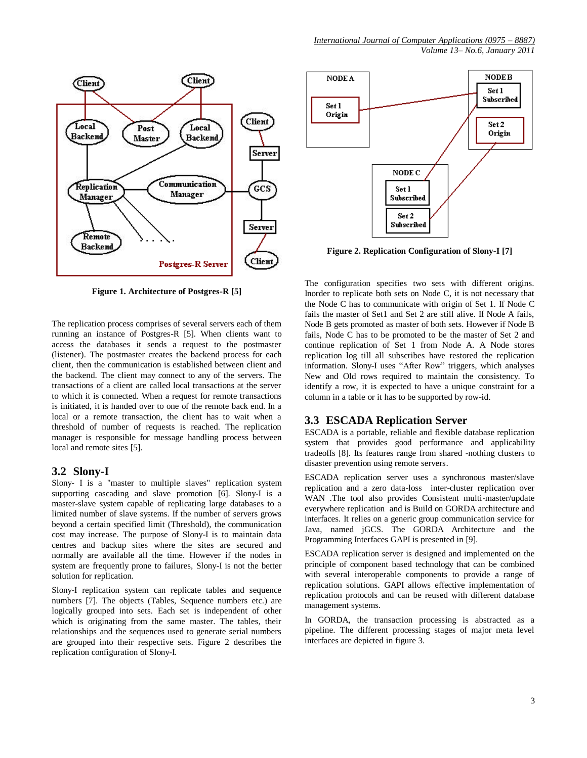

**Figure 1. Architecture of Postgres-R [5]**

The replication process comprises of several servers each of them running an instance of Postgres-R [5]. When clients want to access the databases it sends a request to the postmaster (listener). The postmaster creates the backend process for each client, then the communication is established between client and the backend. The client may connect to any of the servers. The transactions of a client are called local transactions at the server to which it is connected. When a request for remote transactions is initiated, it is handed over to one of the remote back end. In a local or a remote transaction, the client has to wait when a threshold of number of requests is reached. The replication manager is responsible for message handling process between local and remote sites [5].

#### **3.2 Slony-I**

Slony- I is a "master to multiple slaves" replication system supporting cascading and slave promotion [6]. Slony-I is a master-slave system capable of replicating large databases to a limited number of slave systems. If the number of servers grows beyond a certain specified limit (Threshold), the communication cost may increase. The purpose of Slony-I is to maintain data centres and backup sites where the sites are secured and normally are available all the time. However if the nodes in system are frequently prone to failures, Slony-I is not the better solution for replication.

Slony-I replication system can replicate tables and sequence numbers [7]. The objects (Tables, Sequence numbers etc.) are logically grouped into sets. Each set is independent of other which is originating from the same master. The tables, their relationships and the sequences used to generate serial numbers are grouped into their respective sets. Figure 2 describes the replication configuration of Slony-I.



**Figure 2. Replication Configuration of Slony-I [7]**

The configuration specifies two sets with different origins. Inorder to replicate both sets on Node C, it is not necessary that the Node C has to communicate with origin of Set 1. If Node C fails the master of Set1 and Set 2 are still alive. If Node A fails, Node B gets promoted as master of both sets. However if Node B fails, Node C has to be promoted to be the master of Set 2 and continue replication of Set 1 from Node A. A Node stores replication log till all subscribes have restored the replication information. Slony-I uses "After Row" triggers, which analyses New and Old rows required to maintain the consistency. To identify a row, it is expected to have a unique constraint for a column in a table or it has to be supported by row-id.

## **3.3 ESCADA Replication Server**

ESCADA is a portable, reliable and flexible database replication system that provides good performance and applicability tradeoffs [8]. Its features range from shared -nothing clusters to disaster prevention using remote servers.

ESCADA replication server uses a synchronous master/slave replication and a zero data-loss inter-cluster replication over WAN .The tool also provides Consistent multi-master/update everywhere replication and is Build on GORDA architecture and interfaces. It relies on a generic group communication service for Java, named jGCS. The GORDA Architecture and the Programming Interfaces GAPI is presented in [9].

ESCADA replication server is designed and implemented on the principle of component based technology that can be combined with several interoperable components to provide a range of replication solutions. GAPI allows effective implementation of replication protocols and can be reused with different database management systems.

In GORDA, the transaction processing is abstracted as a pipeline. The different processing stages of major meta level interfaces are depicted in figure 3.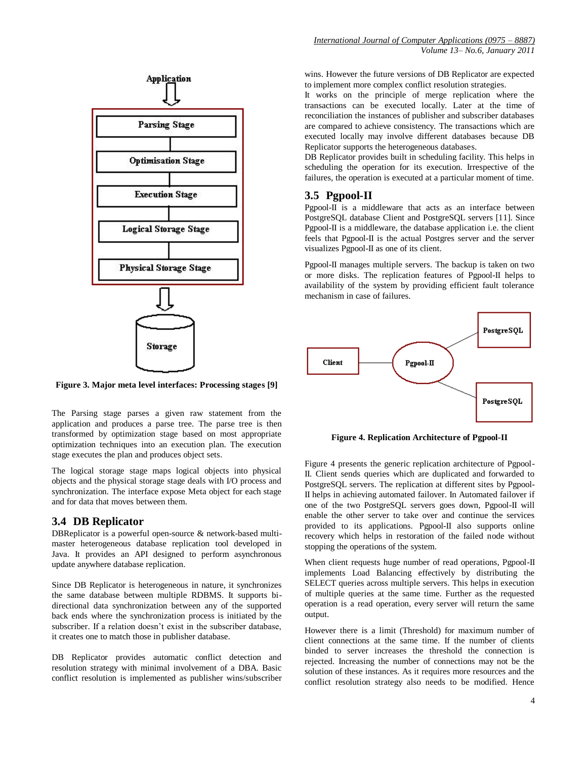

**Figure 3. Major meta level interfaces: Processing stages [9]**

The Parsing stage parses a given raw statement from the application and produces a parse tree. The parse tree is then transformed by optimization stage based on most appropriate optimization techniques into an execution plan. The execution stage executes the plan and produces object sets.

The logical storage stage maps logical objects into physical objects and the physical storage stage deals with I/O process and synchronization. The interface expose Meta object for each stage and for data that moves between them.

#### **3.4 DB Replicator**

DBReplicator is a powerful open-source & network-based multimaster heterogeneous database replication tool developed in Java. It provides an API designed to perform asynchronous update anywhere database replication.

Since DB Replicator is heterogeneous in nature, it synchronizes the same database between multiple RDBMS. It supports bidirectional data synchronization between any of the supported back ends where the synchronization process is initiated by the subscriber. If a relation doesn't exist in the subscriber database, it creates one to match those in publisher database.

DB Replicator provides automatic conflict detection and resolution strategy with minimal involvement of a DBA. Basic conflict resolution is implemented as publisher wins/subscriber

wins. However the future versions of DB Replicator are expected to implement more complex conflict resolution strategies.

It works on the principle of merge replication where the transactions can be executed locally. Later at the time of reconciliation the instances of publisher and subscriber databases are compared to achieve consistency. The transactions which are executed locally may involve different databases because DB Replicator supports the heterogeneous databases.

DB Replicator provides built in scheduling facility. This helps in scheduling the operation for its execution. Irrespective of the failures, the operation is executed at a particular moment of time.

## **3.5 Pgpool-II**

Pgpool-II is a middleware that acts as an interface between PostgreSQL database Client and PostgreSQL servers [11]. Since Pgpool-II is a middleware, the database application i.e. the client feels that Pgpool-II is the actual Postgres server and the server visualizes Pgpool-II as one of its client.

Pgpool-II manages multiple servers. The backup is taken on two or more disks. The replication features of Pgpool-II helps to availability of the system by providing efficient fault tolerance mechanism in case of failures.



**Figure 4. Replication Architecture of Pgpool-II**

Figure 4 presents the generic replication architecture of Pgpool-II. Client sends queries which are duplicated and forwarded to PostgreSQL servers. The replication at different sites by Pgpool-II helps in achieving automated failover. In Automated failover if one of the two PostgreSQL servers goes down, Pgpool-II will enable the other server to take over and continue the services provided to its applications. Pgpool-II also supports online recovery which helps in restoration of the failed node without stopping the operations of the system.

When client requests huge number of read operations, Pgpool-II implements Load Balancing effectively by distributing the SELECT queries across multiple servers. This helps in execution of multiple queries at the same time. Further as the requested operation is a read operation, every server will return the same output.

However there is a limit (Threshold) for maximum number of client connections at the same time. If the number of clients binded to server increases the threshold the connection is rejected. Increasing the number of connections may not be the solution of these instances. As it requires more resources and the conflict resolution strategy also needs to be modified. Hence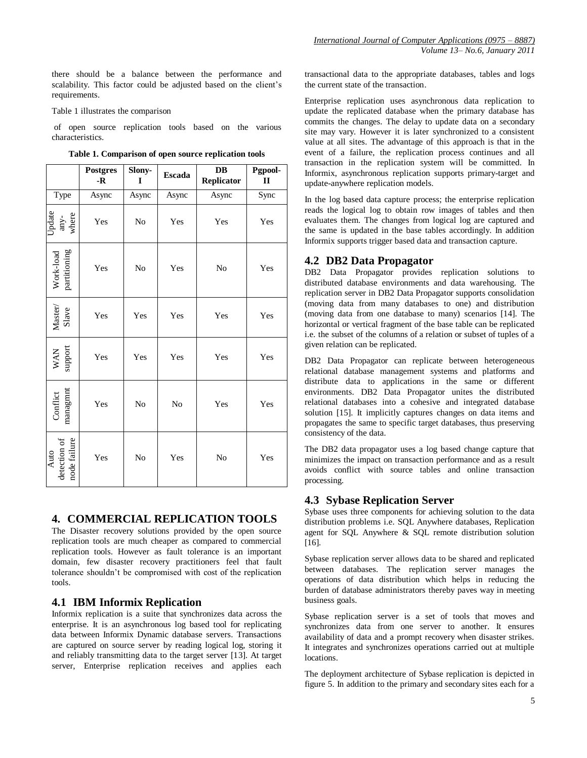there should be a balance between the performance and scalability. This factor could be adjusted based on the client's requirements.

Table 1 illustrates the comparison

of open source replication tools based on the various characteristics.

|                                      | <b>Postgres</b><br>$-R$ | Slony-<br>I    | Escada | $\mathbf{D}\mathbf{B}$<br>Replicator | Pgpool-<br>$\mathbf{I}$ |
|--------------------------------------|-------------------------|----------------|--------|--------------------------------------|-------------------------|
| Type                                 | Async                   | Async          | Async  | Async                                | Sync                    |
| Update<br>any-<br>where              | Yes                     | N <sub>0</sub> | Yes    | Yes                                  | Yes                     |
| Work-load<br>partitioning            | Yes                     | No             | Yes    | No                                   | Yes                     |
| ${\rm Master/}_{\rm Slave}$          | Yes                     | Yes            | Yes    | Yes                                  | Yes                     |
| WAN<br>support                       | Yes                     | Yes            | Yes    | Yes                                  | Yes                     |
| managmnt<br>Conflict                 | Yes                     | No             | No     | Yes                                  | Yes                     |
| Auto<br>detection of<br>node failure | Yes                     | No             | Yes    | No                                   | Yes                     |

**Table 1. Comparison of open source replication tools**

# **4. COMMERCIAL REPLICATION TOOLS**

The Disaster recovery solutions provided by the open source replication tools are much cheaper as compared to commercial replication tools. However as fault tolerance is an important domain, few disaster recovery practitioners feel that fault tolerance shouldn't be compromised with cost of the replication tools.

#### **4.1 IBM Informix Replication**

Informix replication is a suite that synchronizes data across the enterprise. It is an asynchronous log based tool for replicating data between Informix Dynamic database servers. Transactions are captured on source server by reading logical log, storing it and reliably transmitting data to the target server [13]. At target server, Enterprise replication receives and applies each

transactional data to the appropriate databases, tables and logs the current state of the transaction.

Enterprise replication uses asynchronous data replication to update the replicated database when the primary database has commits the changes. The delay to update data on a secondary site may vary. However it is later synchronized to a consistent value at all sites. The advantage of this approach is that in the event of a failure, the replication process continues and all transaction in the replication system will be committed. In Informix, asynchronous replication supports primary-target and update-anywhere replication models.

In the log based data capture process; the enterprise replication reads the logical log to obtain row images of tables and then evaluates them. The changes from logical log are captured and the same is updated in the base tables accordingly. In addition Informix supports trigger based data and transaction capture.

## **4.2 DB2 Data Propagator**

DB2 Data Propagator provides replication solutions to distributed database environments and data warehousing. The replication server in DB2 Data Propagator supports consolidation (moving data from many databases to one) and distribution (moving data from one database to many) scenarios [14]. The horizontal or vertical fragment of the base table can be replicated i.e. the subset of the columns of a relation or subset of tuples of a given relation can be replicated.

DB2 Data Propagator can replicate between heterogeneous relational database management systems and platforms and distribute data to applications in the same or different environments. DB2 Data Propagator unites the distributed relational databases into a cohesive and integrated database solution [15]. It implicitly captures changes on data items and propagates the same to specific target databases, thus preserving consistency of the data.

The DB2 data propagator uses a log based change capture that minimizes the impact on transaction performance and as a result avoids conflict with source tables and online transaction processing.

## **4.3 Sybase Replication Server**

Sybase uses three components for achieving solution to the data distribution problems i.e. SQL Anywhere databases, Replication agent for SQL Anywhere & SQL remote distribution solution [16].

Sybase replication server allows data to be shared and replicated between databases. The replication server manages the operations of data distribution which helps in reducing the burden of database administrators thereby paves way in meeting business goals.

Sybase replication server is a set of tools that moves and synchronizes data from one server to another. It ensures availability of data and a prompt recovery when disaster strikes. It integrates and synchronizes operations carried out at multiple locations.

The deployment architecture of Sybase replication is depicted in figure 5. In addition to the primary and secondary sites each for a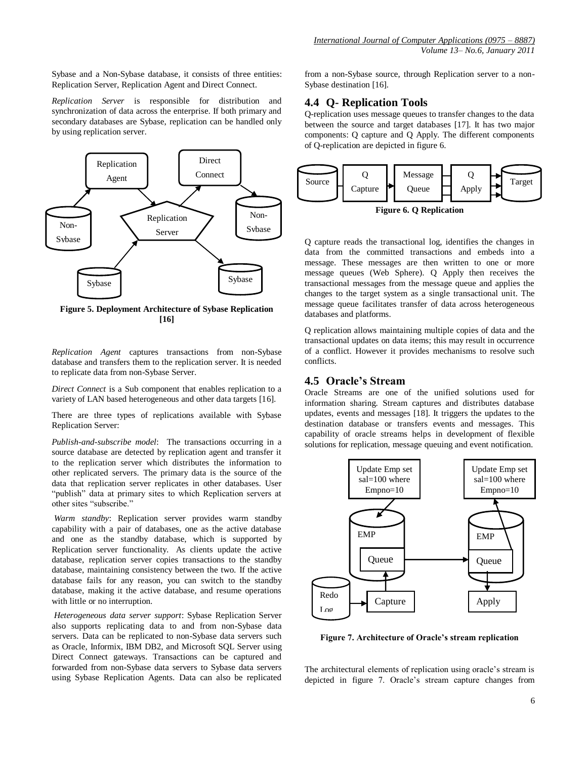Sybase and a Non-Sybase database, it consists of three entities: Replication Server, Replication Agent and Direct Connect.

*Replication Server* is responsible for distribution and synchronization of data across the enterprise. If both primary and secondary databases are Sybase, replication can be handled only by using replication server.



**Figure 5. Deployment Architecture of Sybase Replication [16]**

*Replication Agent* captures transactions from non-Sybase database and transfers them to the replication server. It is needed to replicate data from non-Sybase Server.

*Direct Connect* is a Sub component that enables replication to a variety of LAN based heterogeneous and other data targets [16].

There are three types of replications available with Sybase Replication Server:

*Publish-and-subscribe model*: The transactions occurring in a source database are detected by replication agent and transfer it to the replication server which distributes the information to other replicated servers. The primary data is the source of the data that replication server replicates in other databases. User "publish" data at primary sites to which Replication servers at other sites "subscribe."

*Warm standby*: Replication server provides warm standby capability with a pair of databases, one as the active database and one as the standby database, which is supported by Replication server functionality. As clients update the active database, replication server copies transactions to the standby database, maintaining consistency between the two. If the active database fails for any reason, you can switch to the standby database, making it the active database, and resume operations with little or no interruption.

*Heterogeneous data server support*: Sybase Replication Server also supports replicating data to and from non-Sybase data servers. Data can be replicated to non-Sybase data servers such as Oracle, Informix, IBM DB2, and Microsoft SQL Server using Direct Connect gateways. Transactions can be captured and forwarded from non-Sybase data servers to Sybase data servers using Sybase Replication Agents. Data can also be replicated

from a non-Sybase source, through Replication server to a non-Sybase destination [16].

# **4.4 Q- Replication Tools**

Q-replication uses message queues to transfer changes to the data between the source and target databases [17]. It has two major components: Q capture and Q Apply. The different components of Q-replication are depicted in figure 6.



**Figure 6. Q Replication**

Q capture reads the transactional log, identifies the changes in data from the committed transactions and embeds into a message. These messages are then written to one or more message queues (Web Sphere). Q Apply then receives the transactional messages from the message queue and applies the changes to the target system as a single transactional unit. The message queue facilitates transfer of data across heterogeneous databases and platforms.

Q replication allows maintaining multiple copies of data and the transactional updates on data items; this may result in occurrence of a conflict. However it provides mechanisms to resolve such conflicts.

#### **4.5 Oracle's Stream**

Oracle Streams are one of the unified solutions used for information sharing. Stream captures and distributes database updates, events and messages [18]. It triggers the updates to the destination database or transfers events and messages. This capability of oracle streams helps in development of flexible solutions for replication, message queuing and event notification.



**Figure 7. Architecture of Oracle's stream replication**

The architectural elements of replication using oracle's stream is depicted in figure 7. Oracle's stream capture changes from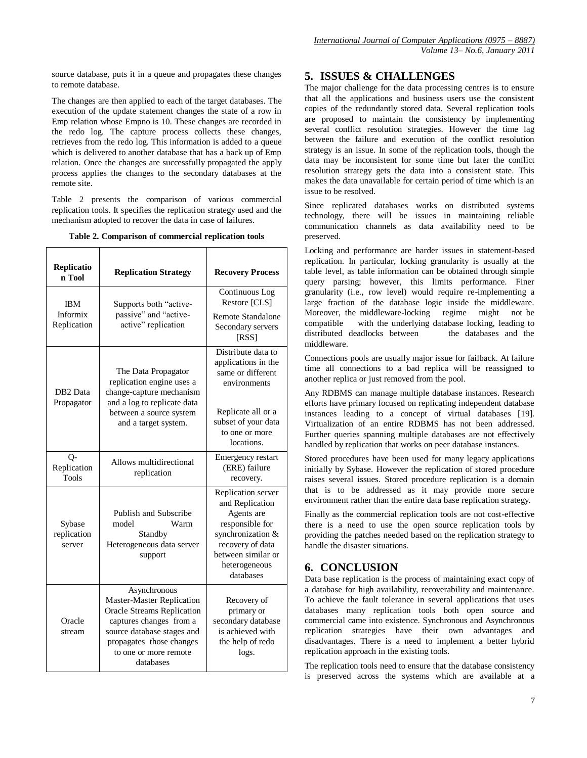source database, puts it in a queue and propagates these changes to remote database.

The changes are then applied to each of the target databases. The execution of the update statement changes the state of a row in Emp relation whose Empno is 10. These changes are recorded in the redo log. The capture process collects these changes, retrieves from the redo log. This information is added to a queue which is delivered to another database that has a back up of Emp relation. Once the changes are successfully propagated the apply process applies the changes to the secondary databases at the remote site.

Table 2 presents the comparison of various commercial replication tools. It specifies the replication strategy used and the mechanism adopted to recover the data in case of failures.

**Table 2. Comparison of commercial replication tools**

| Replicatio<br>n Tool                  | <b>Replication Strategy</b>                                                                                                                                                                                      | <b>Recovery Process</b>                                                                                                                                             |
|---------------------------------------|------------------------------------------------------------------------------------------------------------------------------------------------------------------------------------------------------------------|---------------------------------------------------------------------------------------------------------------------------------------------------------------------|
| <b>IBM</b><br>Informix<br>Replication | Supports both "active-<br>passive" and "active-<br>active" replication                                                                                                                                           | Continuous Log<br>Restore [CLS]<br>Remote Standalone<br>Secondary servers<br>[RSS]                                                                                  |
| DB <sub>2</sub> Data<br>Propagator    | The Data Propagator<br>replication engine uses a<br>change-capture mechanism<br>and a log to replicate data<br>between a source system<br>and a target system.                                                   | Distribute data to<br>applications in the<br>same or different<br>environments<br>Replicate all or a<br>subset of your data<br>to one or more<br>locations.         |
| 0-<br>Replication<br><b>Tools</b>     | Allows multidirectional<br>replication                                                                                                                                                                           | <b>Emergency restart</b><br>(ERE) failure<br>recovery.                                                                                                              |
| Sybase<br>replication<br>server       | Publish and Subscribe<br>model<br>Warm<br>Standby<br>Heterogeneous data server<br>support                                                                                                                        | Replication server<br>and Replication<br>Agents are<br>responsible for<br>synchronization &<br>recovery of data<br>between similar or<br>heterogeneous<br>databases |
| Oracle<br>stream                      | Asynchronous<br><b>Master-Master Replication</b><br><b>Oracle Streams Replication</b><br>captures changes from a<br>source database stages and<br>propagates those changes<br>to one or more remote<br>databases | Recovery of<br>primary or<br>secondary database<br>is achieved with<br>the help of redo<br>logs.                                                                    |

# **5. ISSUES & CHALLENGES**

The major challenge for the data processing centres is to ensure that all the applications and business users use the consistent copies of the redundantly stored data. Several replication tools are proposed to maintain the consistency by implementing several conflict resolution strategies. However the time lag between the failure and execution of the conflict resolution strategy is an issue. In some of the replication tools, though the data may be inconsistent for some time but later the conflict resolution strategy gets the data into a consistent state. This makes the data unavailable for certain period of time which is an issue to be resolved.

Since replicated databases works on distributed systems technology, there will be issues in maintaining reliable communication channels as data availability need to be preserved.

Locking and performance are harder issues in statement-based replication. In particular, locking granularity is usually at the table level, as table information can be obtained through simple query parsing; however, this limits performance. Finer granularity (i.e., row level) would require re-implementing a large fraction of the database logic inside the middleware. Moreover, the middleware-locking regime might not be compatible with the underlying database locking, leading to distributed deadlocks between the databases and the middleware.

Connections pools are usually major issue for failback. At failure time all connections to a bad replica will be reassigned to another replica or just removed from the pool.

Any RDBMS can manage multiple database instances. Research efforts have primary focused on replicating independent database instances leading to a concept of virtual databases [19]. Virtualization of an entire RDBMS has not been addressed. Further queries spanning multiple databases are not effectively handled by replication that works on peer database instances.

Stored procedures have been used for many legacy applications initially by Sybase. However the replication of stored procedure raises several issues. Stored procedure replication is a domain that is to be addressed as it may provide more secure environment rather than the entire data base replication strategy.

Finally as the commercial replication tools are not cost-effective there is a need to use the open source replication tools by providing the patches needed based on the replication strategy to handle the disaster situations.

# **6. CONCLUSION**

Data base replication is the process of maintaining exact copy of a database for high availability, recoverability and maintenance. To achieve the fault tolerance in several applications that uses databases many replication tools both open source and commercial came into existence. Synchronous and Asynchronous replication strategies have their own advantages and disadvantages. There is a need to implement a better hybrid replication approach in the existing tools.

The replication tools need to ensure that the database consistency is preserved across the systems which are available at a